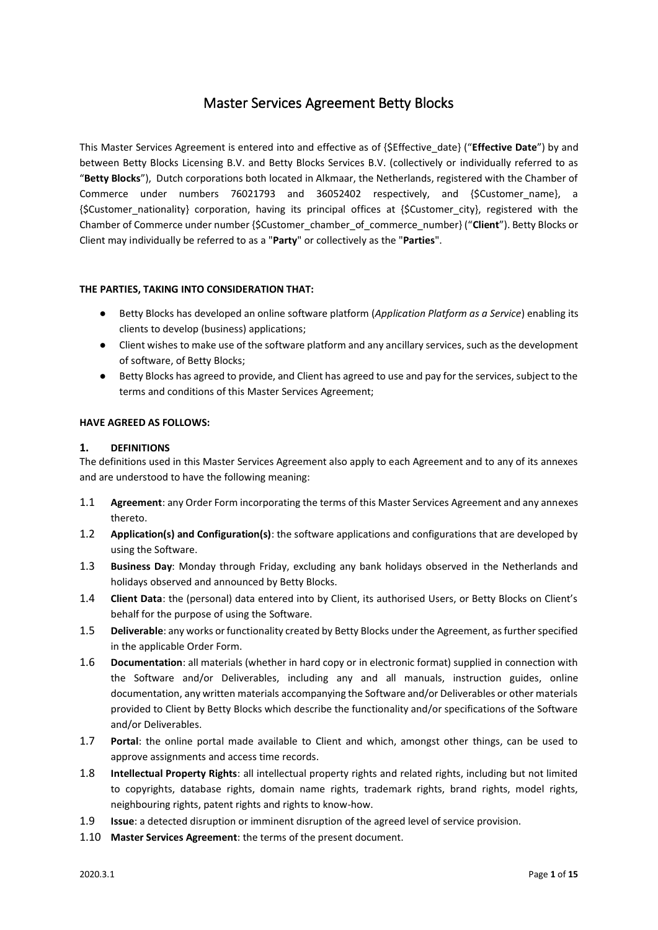# Master Services Agreement Betty Blocks

This Master Services Agreement is entered into and effective as of {\$Effective\_date} ("**Effective Date**") by and between Betty Blocks Licensing B.V. and Betty Blocks Services B.V. (collectively or individually referred to as "**Betty Blocks**"), Dutch corporations both located in Alkmaar, the Netherlands, registered with the Chamber of Commerce under numbers 76021793 and 36052402 respectively, and {\$Customer\_name}, a {\$Customer\_nationality} corporation, having its principal offices at {\$Customer\_city}, registered with the Chamber of Commerce under number {\$Customer\_chamber\_of\_commerce\_number} ("**Client**"). Betty Blocks or Client may individually be referred to as a "**Party**" or collectively as the "**Parties**".

# **THE PARTIES, TAKING INTO CONSIDERATION THAT:**

- Betty Blocks has developed an online software platform (*Application Platform as a Service*) enabling its clients to develop (business) applications;
- Client wishes to make use of the software platform and any ancillary services, such as the development of software, of Betty Blocks;
- Betty Blocks has agreed to provide, and Client has agreed to use and pay for the services, subject to the terms and conditions of this Master Services Agreement;

## **HAVE AGREED AS FOLLOWS:**

## **1. DEFINITIONS**

The definitions used in this Master Services Agreement also apply to each Agreement and to any of its annexes and are understood to have the following meaning:

- 1.1 **Agreement**: any Order Form incorporating the terms of this Master Services Agreement and any annexes thereto.
- 1.2 **Application(s) and Configuration(s)**: the software applications and configurations that are developed by using the Software.
- 1.3 **Business Day**: Monday through Friday, excluding any bank holidays observed in the Netherlands and holidays observed and announced by Betty Blocks.
- 1.4 **Client Data**: the (personal) data entered into by Client, its authorised Users, or Betty Blocks on Client's behalf for the purpose of using the Software.
- 1.5 **Deliverable**: any works or functionality created by Betty Blocks under the Agreement, as further specified in the applicable Order Form.
- 1.6 **Documentation**: all materials (whether in hard copy or in electronic format) supplied in connection with the Software and/or Deliverables, including any and all manuals, instruction guides, online documentation, any written materials accompanying the Software and/or Deliverables or other materials provided to Client by Betty Blocks which describe the functionality and/or specifications of the Software and/or Deliverables.
- 1.7 **Portal**: the online portal made available to Client and which, amongst other things, can be used to approve assignments and access time records.
- 1.8 **Intellectual Property Rights**: all intellectual property rights and related rights, including but not limited to copyrights, database rights, domain name rights, trademark rights, brand rights, model rights, neighbouring rights, patent rights and rights to know-how.
- 1.9 **Issue**: a detected disruption or imminent disruption of the agreed level of service provision.
- 1.10 **Master Services Agreement**: the terms of the present document.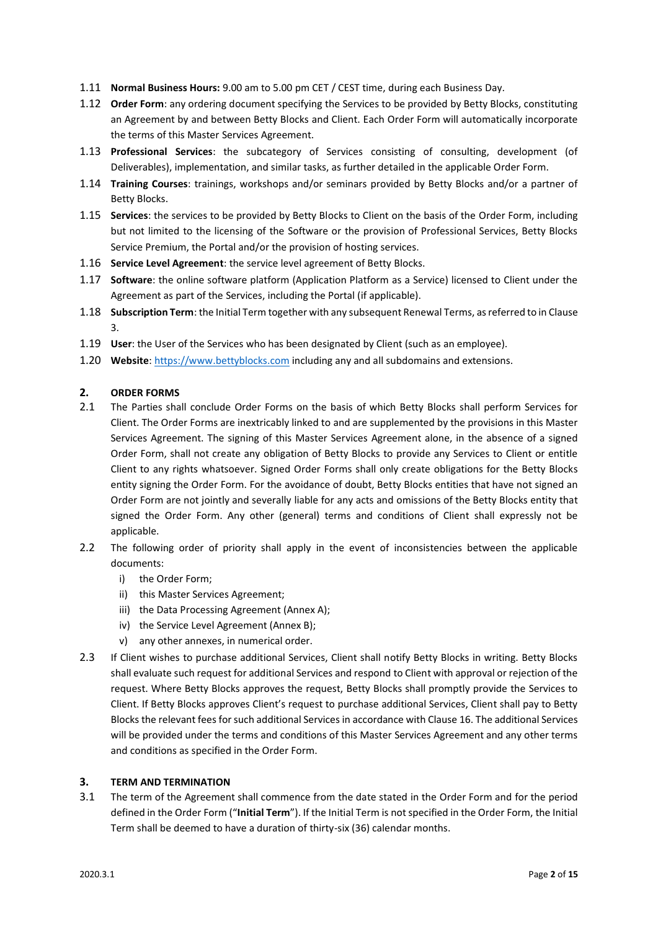- 1.11 **Normal Business Hours:** 9.00 am to 5.00 pm CET / CEST time, during each Business Day.
- 1.12 **Order Form**: any ordering document specifying the Services to be provided by Betty Blocks, constituting an Agreement by and between Betty Blocks and Client. Each Order Form will automatically incorporate the terms of this Master Services Agreement.
- 1.13 **Professional Services**: the subcategory of Services consisting of consulting, development (of Deliverables), implementation, and similar tasks, as further detailed in the applicable Order Form.
- 1.14 **Training Courses**: trainings, workshops and/or seminars provided by Betty Blocks and/or a partner of Betty Blocks.
- 1.15 **Services**: the services to be provided by Betty Blocks to Client on the basis of the Order Form, including but not limited to the licensing of the Software or the provision of Professional Services, Betty Blocks Service Premium, the Portal and/or the provision of hosting services.
- 1.16 **Service Level Agreement**: the service level agreement of Betty Blocks.
- 1.17 **Software**: the online software platform (Application Platform as a Service) licensed to Client under the Agreement as part of the Services, including the Portal (if applicable).
- 1.18 **Subscription Term**: the Initial Term together with any subsequent Renewal Terms, as referred to in Clause 3.
- 1.19 **User**: the User of the Services who has been designated by Client (such as an employee).
- 1.20 **Website**[: https://www.bettyblocks.com](https://www.bettyblocks.com/) including any and all subdomains and extensions.

## **2. ORDER FORMS**

- 2.1 The Parties shall conclude Order Forms on the basis of which Betty Blocks shall perform Services for Client. The Order Forms are inextricably linked to and are supplemented by the provisions in this Master Services Agreement. The signing of this Master Services Agreement alone, in the absence of a signed Order Form, shall not create any obligation of Betty Blocks to provide any Services to Client or entitle Client to any rights whatsoever. Signed Order Forms shall only create obligations for the Betty Blocks entity signing the Order Form. For the avoidance of doubt, Betty Blocks entities that have not signed an Order Form are not jointly and severally liable for any acts and omissions of the Betty Blocks entity that signed the Order Form. Any other (general) terms and conditions of Client shall expressly not be applicable.
- 2.2 The following order of priority shall apply in the event of inconsistencies between the applicable documents:
	- i) the Order Form;
	- ii) this Master Services Agreement;
	- iii) the Data Processing Agreement (Annex A);
	- iv) the Service Level Agreement (Annex B);
	- v) any other annexes, in numerical order.
- 2.3 If Client wishes to purchase additional Services, Client shall notify Betty Blocks in writing. Betty Blocks shall evaluate such request for additional Services and respond to Client with approval or rejection of the request. Where Betty Blocks approves the request, Betty Blocks shall promptly provide the Services to Client. If Betty Blocks approves Client's request to purchase additional Services, Client shall pay to Betty Blocks the relevant fees for such additional Services in accordance with Clause 16. The additional Services will be provided under the terms and conditions of this Master Services Agreement and any other terms and conditions as specified in the Order Form.

## **3. TERM AND TERMINATION**

3.1 The term of the Agreement shall commence from the date stated in the Order Form and for the period defined in the Order Form ("**Initial Term**"). If the Initial Term is not specified in the Order Form, the Initial Term shall be deemed to have a duration of thirty-six (36) calendar months.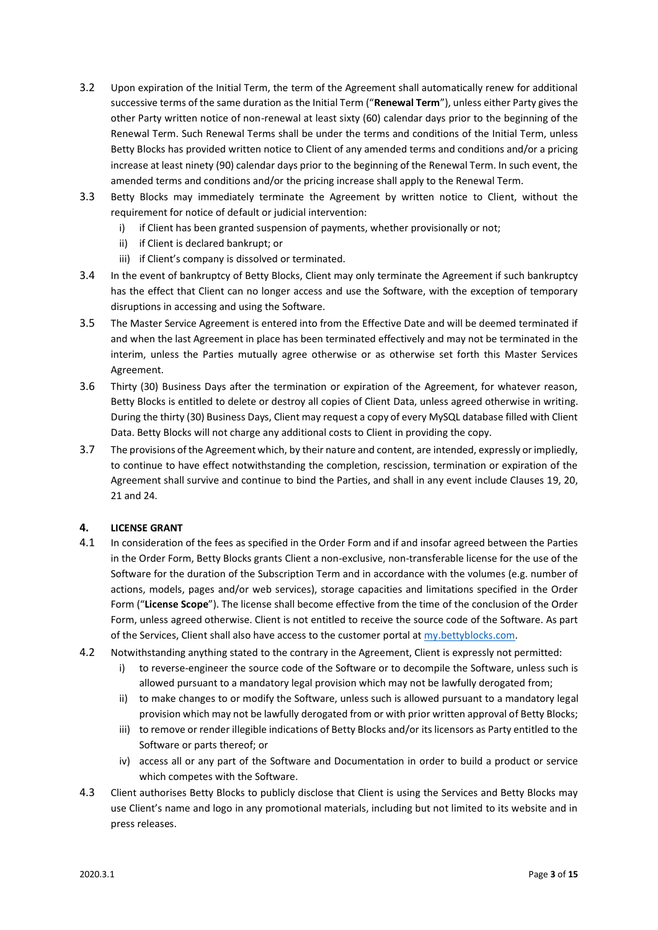- 3.2 Upon expiration of the Initial Term, the term of the Agreement shall automatically renew for additional successive terms of the same duration as the Initial Term ("**Renewal Term**"), unless either Party gives the other Party written notice of non-renewal at least sixty (60) calendar days prior to the beginning of the Renewal Term. Such Renewal Terms shall be under the terms and conditions of the Initial Term, unless Betty Blocks has provided written notice to Client of any amended terms and conditions and/or a pricing increase at least ninety (90) calendar days prior to the beginning of the Renewal Term. In such event, the amended terms and conditions and/or the pricing increase shall apply to the Renewal Term.
- 3.3 Betty Blocks may immediately terminate the Agreement by written notice to Client, without the requirement for notice of default or judicial intervention:
	- i) if Client has been granted suspension of payments, whether provisionally or not;
	- ii) if Client is declared bankrupt; or
	- iii) if Client's company is dissolved or terminated.
- 3.4 In the event of bankruptcy of Betty Blocks, Client may only terminate the Agreement if such bankruptcy has the effect that Client can no longer access and use the Software, with the exception of temporary disruptions in accessing and using the Software.
- 3.5 The Master Service Agreement is entered into from the Effective Date and will be deemed terminated if and when the last Agreement in place has been terminated effectively and may not be terminated in the interim, unless the Parties mutually agree otherwise or as otherwise set forth this Master Services Agreement.
- 3.6 Thirty (30) Business Days after the termination or expiration of the Agreement, for whatever reason, Betty Blocks is entitled to delete or destroy all copies of Client Data, unless agreed otherwise in writing. During the thirty (30) Business Days, Client may request a copy of every MySQL database filled with Client Data. Betty Blocks will not charge any additional costs to Client in providing the copy.
- 3.7 The provisions of the Agreement which, by their nature and content, are intended, expressly or impliedly, to continue to have effect notwithstanding the completion, rescission, termination or expiration of the Agreement shall survive and continue to bind the Parties, and shall in any event include Clauses 19, 20, 21 and 24.

# **4. LICENSE GRANT**

- 4.1 In consideration of the fees as specified in the Order Form and if and insofar agreed between the Parties in the Order Form, Betty Blocks grants Client a non-exclusive, non-transferable license for the use of the Software for the duration of the Subscription Term and in accordance with the volumes (e.g. number of actions, models, pages and/or web services), storage capacities and limitations specified in the Order Form ("**License Scope**"). The license shall become effective from the time of the conclusion of the Order Form, unless agreed otherwise. Client is not entitled to receive the source code of the Software. As part of the Services, Client shall also have access to the customer portal at [my.bettyblocks.com.](https://l.bettyblocks.com/login?service=https%3A%2F%2Fmy.bettyblocks.com%2F&uuid=95c73be26cc742b19cb590a449f2afab)
- 4.2 Notwithstanding anything stated to the contrary in the Agreement, Client is expressly not permitted:
	- i) to reverse-engineer the source code of the Software or to decompile the Software, unless such is allowed pursuant to a mandatory legal provision which may not be lawfully derogated from;
	- ii) to make changes to or modify the Software, unless such is allowed pursuant to a mandatory legal provision which may not be lawfully derogated from or with prior written approval of Betty Blocks;
	- iii) to remove or render illegible indications of Betty Blocks and/or its licensors as Party entitled to the Software or parts thereof; or
	- iv) access all or any part of the Software and Documentation in order to build a product or service which competes with the Software.
- 4.3 Client authorises Betty Blocks to publicly disclose that Client is using the Services and Betty Blocks may use Client's name and logo in any promotional materials, including but not limited to its website and in press releases.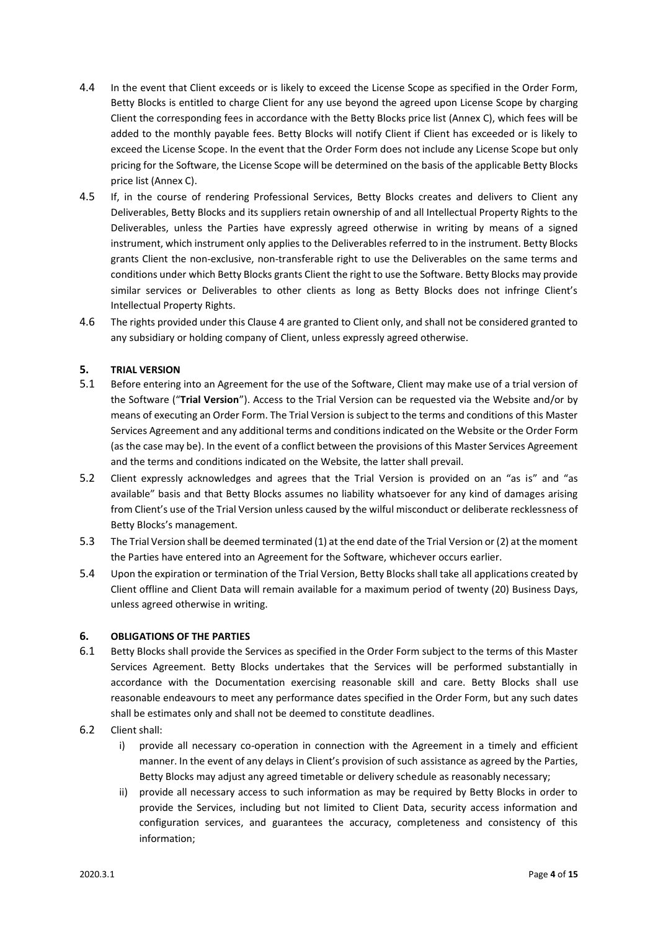- 4.4 In the event that Client exceeds or is likely to exceed the License Scope as specified in the Order Form, Betty Blocks is entitled to charge Client for any use beyond the agreed upon License Scope by charging Client the corresponding fees in accordance with the Betty Blocks price list (Annex C), which fees will be added to the monthly payable fees. Betty Blocks will notify Client if Client has exceeded or is likely to exceed the License Scope. In the event that the Order Form does not include any License Scope but only pricing for the Software, the License Scope will be determined on the basis of the applicable Betty Blocks price list (Annex C).
- 4.5 If, in the course of rendering Professional Services, Betty Blocks creates and delivers to Client any Deliverables, Betty Blocks and its suppliers retain ownership of and all Intellectual Property Rights to the Deliverables, unless the Parties have expressly agreed otherwise in writing by means of a signed instrument, which instrument only applies to the Deliverables referred to in the instrument. Betty Blocks grants Client the non-exclusive, non-transferable right to use the Deliverables on the same terms and conditions under which Betty Blocks grants Client the right to use the Software. Betty Blocks may provide similar services or Deliverables to other clients as long as Betty Blocks does not infringe Client's Intellectual Property Rights.
- 4.6 The rights provided under this Clause 4 are granted to Client only, and shall not be considered granted to any subsidiary or holding company of Client, unless expressly agreed otherwise.

## **5. TRIAL VERSION**

- 5.1 Before entering into an Agreement for the use of the Software, Client may make use of a trial version of the Software ("**Trial Version**"). Access to the Trial Version can be requested via the Website and/or by means of executing an Order Form. The Trial Version is subject to the terms and conditions of this Master Services Agreement and any additional terms and conditions indicated on the Website or the Order Form (as the case may be). In the event of a conflict between the provisions of this Master Services Agreement and the terms and conditions indicated on the Website, the latter shall prevail.
- 5.2 Client expressly acknowledges and agrees that the Trial Version is provided on an "as is" and "as available" basis and that Betty Blocks assumes no liability whatsoever for any kind of damages arising from Client's use of the Trial Version unless caused by the wilful misconduct or deliberate recklessness of Betty Blocks's management.
- 5.3 The Trial Version shall be deemed terminated (1) at the end date of the Trial Version or (2) at the moment the Parties have entered into an Agreement for the Software, whichever occurs earlier.
- 5.4 Upon the expiration or termination of the Trial Version, Betty Blocks shall take all applications created by Client offline and Client Data will remain available for a maximum period of twenty (20) Business Days, unless agreed otherwise in writing.

## **6. OBLIGATIONS OF THE PARTIES**

- 6.1 Betty Blocks shall provide the Services as specified in the Order Form subject to the terms of this Master Services Agreement. Betty Blocks undertakes that the Services will be performed substantially in accordance with the Documentation exercising reasonable skill and care. Betty Blocks shall use reasonable endeavours to meet any performance dates specified in the Order Form, but any such dates shall be estimates only and shall not be deemed to constitute deadlines.
- 6.2 Client shall:
	- i) provide all necessary co-operation in connection with the Agreement in a timely and efficient manner. In the event of any delays in Client's provision of such assistance as agreed by the Parties, Betty Blocks may adjust any agreed timetable or delivery schedule as reasonably necessary;
	- ii) provide all necessary access to such information as may be required by Betty Blocks in order to provide the Services, including but not limited to Client Data, security access information and configuration services, and guarantees the accuracy, completeness and consistency of this information;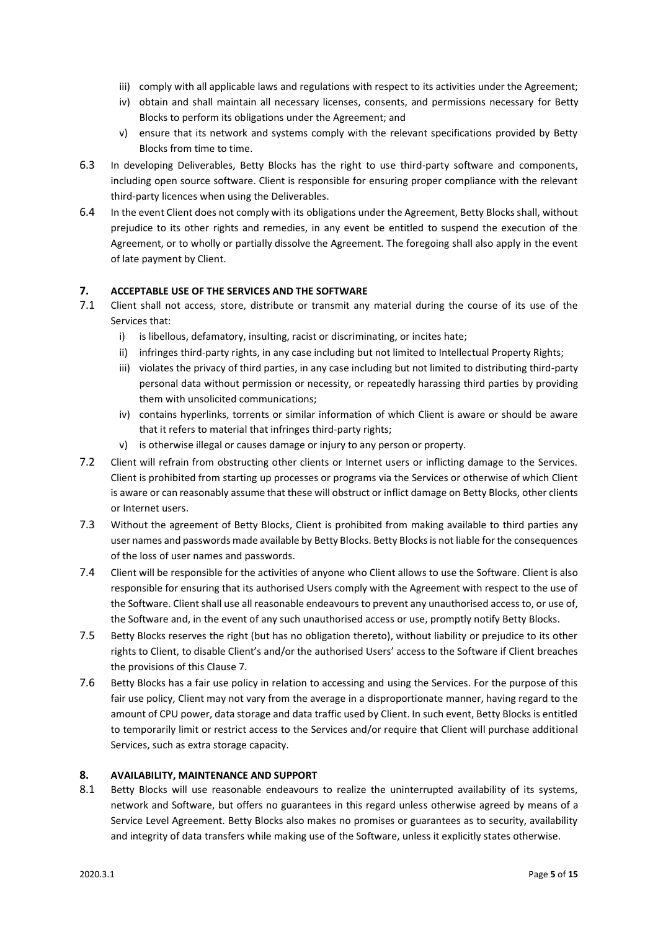- iii) comply with all applicable laws and regulations with respect to its activities under the Agreement;
- iv) obtain and shall maintain all necessary licenses, consents, and permissions necessary for Betty Blocks to perform its obligations under the Agreement; and
- v) ensure that its network and systems comply with the relevant specifications provided by Betty Blocks from time to time.
- 6.3 In developing Deliverables, Betty Blocks has the right to use third-party software and components, including open source software. Client is responsible for ensuring proper compliance with the relevant third-party licences when using the Deliverables.
- 6.4 In the event Client does not comply with its obligations under the Agreement, Betty Blocks shall, without prejudice to its other rights and remedies, in any event be entitled to suspend the execution of the Agreement, or to wholly or partially dissolve the Agreement. The foregoing shall also apply in the event of late payment by Client.

# **7. ACCEPTABLE USE OF THE SERVICES AND THE SOFTWARE**

- 7.1 Client shall not access, store, distribute or transmit any material during the course of its use of the Services that:
	- i) is libellous, defamatory, insulting, racist or discriminating, or incites hate;
	- ii) infringes third-party rights, in any case including but not limited to Intellectual Property Rights;
	- iii) violates the privacy of third parties, in any case including but not limited to distributing third-party personal data without permission or necessity, or repeatedly harassing third parties by providing them with unsolicited communications;
	- iv) contains hyperlinks, torrents or similar information of which Client is aware or should be aware that it refers to material that infringes third-party rights;
	- v) is otherwise illegal or causes damage or injury to any person or property.
- 7.2 Client will refrain from obstructing other clients or Internet users or inflicting damage to the Services. Client is prohibited from starting up processes or programs via the Services or otherwise of which Client is aware or can reasonably assume that these will obstruct or inflict damage on Betty Blocks, other clients or Internet users.
- 7.3 Without the agreement of Betty Blocks, Client is prohibited from making available to third parties any user names and passwords made available by Betty Blocks. Betty Blocks is not liable for the consequences of the loss of user names and passwords.
- 7.4 Client will be responsible for the activities of anyone who Client allows to use the Software. Client is also responsible for ensuring that its authorised Users comply with the Agreement with respect to the use of the Software. Client shall use all reasonable endeavours to prevent any unauthorised access to, or use of, the Software and, in the event of any such unauthorised access or use, promptly notify Betty Blocks.
- 7.5 Betty Blocks reserves the right (but has no obligation thereto), without liability or prejudice to its other rights to Client, to disable Client's and/or the authorised Users' access to the Software if Client breaches the provisions of this Clause 7.
- 7.6 Betty Blocks has a fair use policy in relation to accessing and using the Services. For the purpose of this fair use policy, Client may not vary from the average in a disproportionate manner, having regard to the amount of CPU power, data storage and data traffic used by Client. In such event, Betty Blocks is entitled to temporarily limit or restrict access to the Services and/or require that Client will purchase additional Services, such as extra storage capacity.

## **8. AVAILABILITY, MAINTENANCE AND SUPPORT**

8.1 Betty Blocks will use reasonable endeavours to realize the uninterrupted availability of its systems, network and Software, but offers no guarantees in this regard unless otherwise agreed by means of a Service Level Agreement. Betty Blocks also makes no promises or guarantees as to security, availability and integrity of data transfers while making use of the Software, unless it explicitly states otherwise.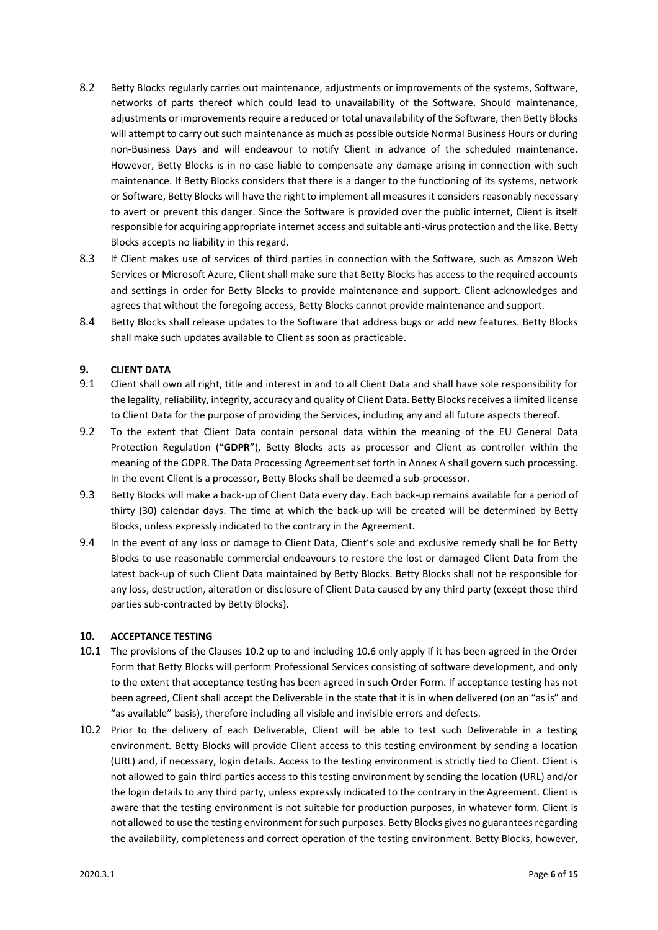- 8.2 Betty Blocks regularly carries out maintenance, adjustments or improvements of the systems, Software, networks of parts thereof which could lead to unavailability of the Software. Should maintenance, adjustments or improvements require a reduced or total unavailability of the Software, then Betty Blocks will attempt to carry out such maintenance as much as possible outside Normal Business Hours or during non-Business Days and will endeavour to notify Client in advance of the scheduled maintenance. However, Betty Blocks is in no case liable to compensate any damage arising in connection with such maintenance. If Betty Blocks considers that there is a danger to the functioning of its systems, network or Software, Betty Blocks will have the right to implement all measures it considers reasonably necessary to avert or prevent this danger. Since the Software is provided over the public internet, Client is itself responsible for acquiring appropriate internet access and suitable anti-virus protection and the like. Betty Blocks accepts no liability in this regard.
- 8.3 If Client makes use of services of third parties in connection with the Software, such as Amazon Web Services or Microsoft Azure, Client shall make sure that Betty Blocks has access to the required accounts and settings in order for Betty Blocks to provide maintenance and support. Client acknowledges and agrees that without the foregoing access, Betty Blocks cannot provide maintenance and support.
- 8.4 Betty Blocks shall release updates to the Software that address bugs or add new features. Betty Blocks shall make such updates available to Client as soon as practicable.

## **9. CLIENT DATA**

- 9.1 Client shall own all right, title and interest in and to all Client Data and shall have sole responsibility for the legality, reliability, integrity, accuracy and quality of Client Data. Betty Blocks receives a limited license to Client Data for the purpose of providing the Services, including any and all future aspects thereof.
- 9.2 To the extent that Client Data contain personal data within the meaning of the EU General Data Protection Regulation ("**GDPR**"), Betty Blocks acts as processor and Client as controller within the meaning of the GDPR. The Data Processing Agreement set forth in Annex A shall govern such processing. In the event Client is a processor, Betty Blocks shall be deemed a sub-processor.
- 9.3 Betty Blocks will make a back-up of Client Data every day. Each back-up remains available for a period of thirty (30) calendar days. The time at which the back-up will be created will be determined by Betty Blocks, unless expressly indicated to the contrary in the Agreement.
- 9.4 In the event of any loss or damage to Client Data, Client's sole and exclusive remedy shall be for Betty Blocks to use reasonable commercial endeavours to restore the lost or damaged Client Data from the latest back-up of such Client Data maintained by Betty Blocks. Betty Blocks shall not be responsible for any loss, destruction, alteration or disclosure of Client Data caused by any third party (except those third parties sub-contracted by Betty Blocks).

## **10. ACCEPTANCE TESTING**

- 10.1 The provisions of the Clauses 10.2 up to and including 10.6 only apply if it has been agreed in the Order Form that Betty Blocks will perform Professional Services consisting of software development, and only to the extent that acceptance testing has been agreed in such Order Form. If acceptance testing has not been agreed, Client shall accept the Deliverable in the state that it is in when delivered (on an "as is" and "as available" basis), therefore including all visible and invisible errors and defects.
- 10.2 Prior to the delivery of each Deliverable, Client will be able to test such Deliverable in a testing environment. Betty Blocks will provide Client access to this testing environment by sending a location (URL) and, if necessary, login details. Access to the testing environment is strictly tied to Client. Client is not allowed to gain third parties access to this testing environment by sending the location (URL) and/or the login details to any third party, unless expressly indicated to the contrary in the Agreement. Client is aware that the testing environment is not suitable for production purposes, in whatever form. Client is not allowed to use the testing environment for such purposes. Betty Blocks gives no guarantees regarding the availability, completeness and correct operation of the testing environment. Betty Blocks, however,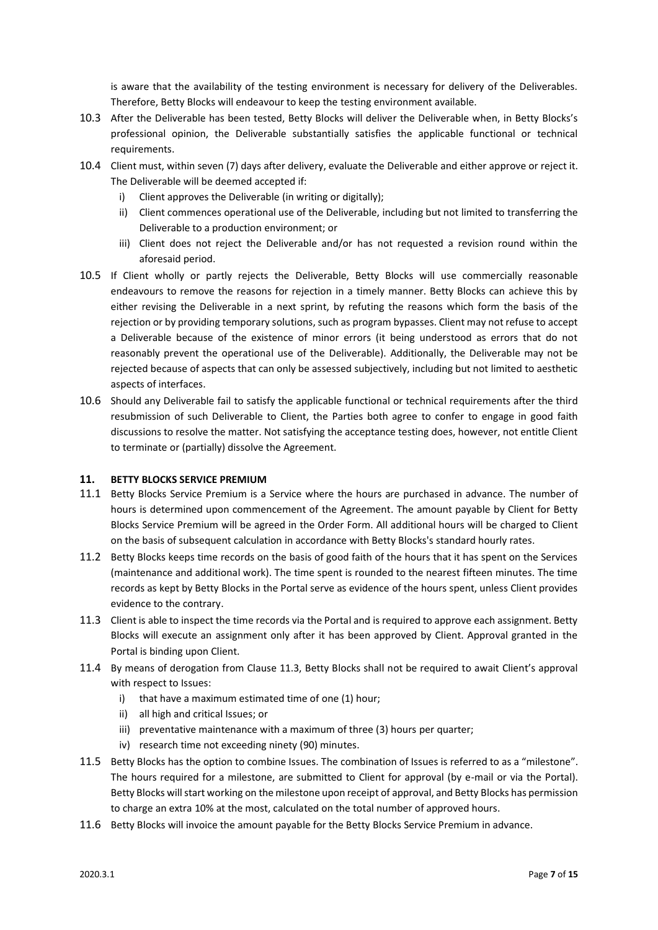is aware that the availability of the testing environment is necessary for delivery of the Deliverables. Therefore, Betty Blocks will endeavour to keep the testing environment available.

- 10.3 After the Deliverable has been tested, Betty Blocks will deliver the Deliverable when, in Betty Blocks's professional opinion, the Deliverable substantially satisfies the applicable functional or technical requirements.
- 10.4 Client must, within seven (7) days after delivery, evaluate the Deliverable and either approve or reject it. The Deliverable will be deemed accepted if:
	- i) Client approves the Deliverable (in writing or digitally);
	- ii) Client commences operational use of the Deliverable, including but not limited to transferring the Deliverable to a production environment; or
	- iii) Client does not reject the Deliverable and/or has not requested a revision round within the aforesaid period.
- 10.5 If Client wholly or partly rejects the Deliverable, Betty Blocks will use commercially reasonable endeavours to remove the reasons for rejection in a timely manner. Betty Blocks can achieve this by either revising the Deliverable in a next sprint, by refuting the reasons which form the basis of the rejection or by providing temporary solutions, such as program bypasses. Client may not refuse to accept a Deliverable because of the existence of minor errors (it being understood as errors that do not reasonably prevent the operational use of the Deliverable). Additionally, the Deliverable may not be rejected because of aspects that can only be assessed subjectively, including but not limited to aesthetic aspects of interfaces.
- 10.6 Should any Deliverable fail to satisfy the applicable functional or technical requirements after the third resubmission of such Deliverable to Client, the Parties both agree to confer to engage in good faith discussions to resolve the matter. Not satisfying the acceptance testing does, however, not entitle Client to terminate or (partially) dissolve the Agreement.

## **11. BETTY BLOCKS SERVICE PREMIUM**

- 11.1 Betty Blocks Service Premium is a Service where the hours are purchased in advance. The number of hours is determined upon commencement of the Agreement. The amount payable by Client for Betty Blocks Service Premium will be agreed in the Order Form. All additional hours will be charged to Client on the basis of subsequent calculation in accordance with Betty Blocks's standard hourly rates.
- 11.2 Betty Blocks keeps time records on the basis of good faith of the hours that it has spent on the Services (maintenance and additional work). The time spent is rounded to the nearest fifteen minutes. The time records as kept by Betty Blocks in the Portal serve as evidence of the hours spent, unless Client provides evidence to the contrary.
- 11.3 Client is able to inspect the time records via the Portal and is required to approve each assignment. Betty Blocks will execute an assignment only after it has been approved by Client. Approval granted in the Portal is binding upon Client.
- 11.4 By means of derogation from Clause 11.3, Betty Blocks shall not be required to await Client's approval with respect to Issues:
	- i) that have a maximum estimated time of one (1) hour;
	- ii) all high and critical Issues; or
	- iii) preventative maintenance with a maximum of three (3) hours per quarter;
	- iv) research time not exceeding ninety (90) minutes.
- 11.5 Betty Blocks has the option to combine Issues. The combination of Issues is referred to as a "milestone". The hours required for a milestone, are submitted to Client for approval (by e-mail or via the Portal). Betty Blocks will start working on the milestone upon receipt of approval, and Betty Blocks has permission to charge an extra 10% at the most, calculated on the total number of approved hours.
- 11.6 Betty Blocks will invoice the amount payable for the Betty Blocks Service Premium in advance.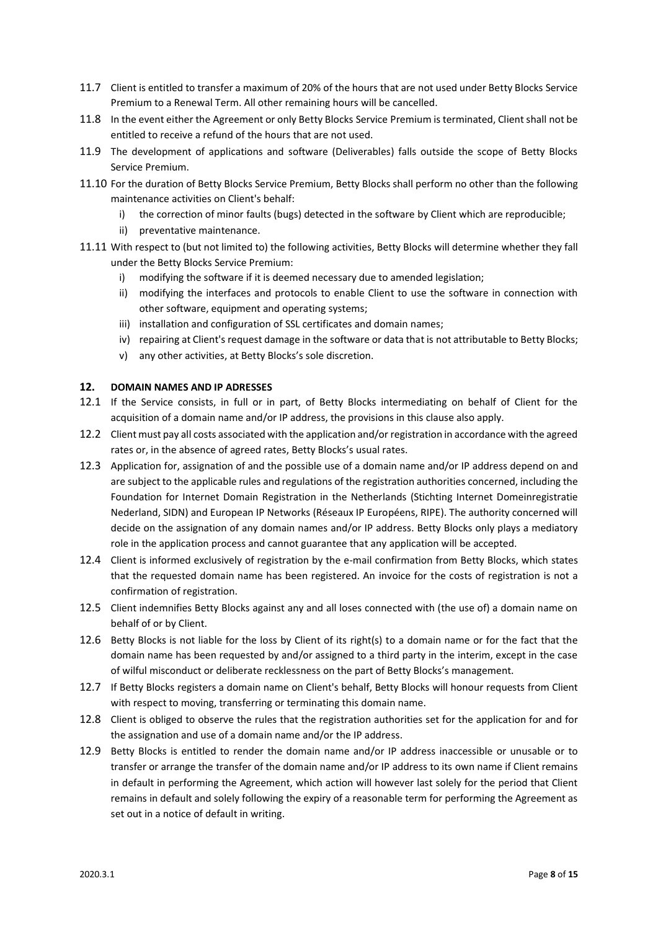- 11.7 Client is entitled to transfer a maximum of 20% of the hours that are not used under Betty Blocks Service Premium to a Renewal Term. All other remaining hours will be cancelled.
- 11.8 In the event either the Agreement or only Betty Blocks Service Premium is terminated, Client shall not be entitled to receive a refund of the hours that are not used.
- 11.9 The development of applications and software (Deliverables) falls outside the scope of Betty Blocks Service Premium.
- 11.10 For the duration of Betty Blocks Service Premium, Betty Blocks shall perform no other than the following maintenance activities on Client's behalf:
	- i) the correction of minor faults (bugs) detected in the software by Client which are reproducible;
	- ii) preventative maintenance.
- 11.11 With respect to (but not limited to) the following activities, Betty Blocks will determine whether they fall under the Betty Blocks Service Premium:
	- i) modifying the software if it is deemed necessary due to amended legislation;
	- ii) modifying the interfaces and protocols to enable Client to use the software in connection with other software, equipment and operating systems;
	- iii) installation and configuration of SSL certificates and domain names;
	- iv) repairing at Client's request damage in the software or data that is not attributable to Betty Blocks;
	- v) any other activities, at Betty Blocks's sole discretion.

## **12. DOMAIN NAMES AND IP ADRESSES**

- 12.1 If the Service consists, in full or in part, of Betty Blocks intermediating on behalf of Client for the acquisition of a domain name and/or IP address, the provisions in this clause also apply.
- 12.2 Client must pay all costs associated with the application and/or registration in accordance with the agreed rates or, in the absence of agreed rates, Betty Blocks's usual rates.
- 12.3 Application for, assignation of and the possible use of a domain name and/or IP address depend on and are subject to the applicable rules and regulations of the registration authorities concerned, including the Foundation for Internet Domain Registration in the Netherlands (Stichting Internet Domeinregistratie Nederland, SIDN) and European IP Networks (Réseaux IP Européens, RIPE). The authority concerned will decide on the assignation of any domain names and/or IP address. Betty Blocks only plays a mediatory role in the application process and cannot guarantee that any application will be accepted.
- 12.4 Client is informed exclusively of registration by the e-mail confirmation from Betty Blocks, which states that the requested domain name has been registered. An invoice for the costs of registration is not a confirmation of registration.
- 12.5 Client indemnifies Betty Blocks against any and all loses connected with (the use of) a domain name on behalf of or by Client.
- 12.6 Betty Blocks is not liable for the loss by Client of its right(s) to a domain name or for the fact that the domain name has been requested by and/or assigned to a third party in the interim, except in the case of wilful misconduct or deliberate recklessness on the part of Betty Blocks's management.
- 12.7 If Betty Blocks registers a domain name on Client's behalf, Betty Blocks will honour requests from Client with respect to moving, transferring or terminating this domain name.
- 12.8 Client is obliged to observe the rules that the registration authorities set for the application for and for the assignation and use of a domain name and/or the IP address.
- 12.9 Betty Blocks is entitled to render the domain name and/or IP address inaccessible or unusable or to transfer or arrange the transfer of the domain name and/or IP address to its own name if Client remains in default in performing the Agreement, which action will however last solely for the period that Client remains in default and solely following the expiry of a reasonable term for performing the Agreement as set out in a notice of default in writing.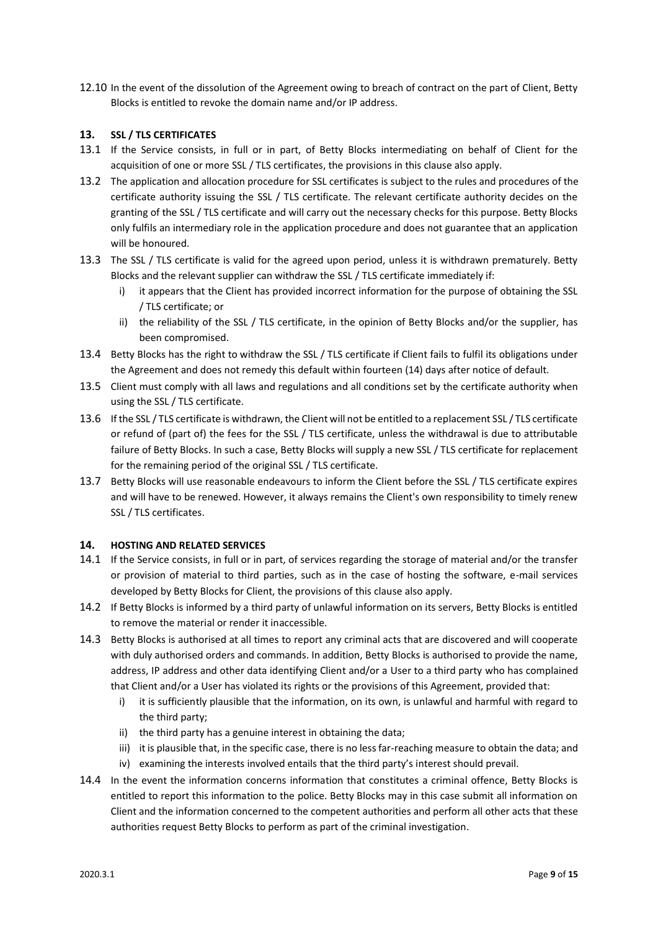12.10 In the event of the dissolution of the Agreement owing to breach of contract on the part of Client, Betty Blocks is entitled to revoke the domain name and/or IP address.

## **13. SSL / TLS CERTIFICATES**

- 13.1 If the Service consists, in full or in part, of Betty Blocks intermediating on behalf of Client for the acquisition of one or more SSL / TLS certificates, the provisions in this clause also apply.
- 13.2 The application and allocation procedure for SSL certificates is subject to the rules and procedures of the certificate authority issuing the SSL / TLS certificate. The relevant certificate authority decides on the granting of the SSL / TLS certificate and will carry out the necessary checks for this purpose. Betty Blocks only fulfils an intermediary role in the application procedure and does not guarantee that an application will be honoured.
- 13.3 The SSL / TLS certificate is valid for the agreed upon period, unless it is withdrawn prematurely. Betty Blocks and the relevant supplier can withdraw the SSL / TLS certificate immediately if:
	- i) it appears that the Client has provided incorrect information for the purpose of obtaining the SSL / TLS certificate; or
	- ii) the reliability of the SSL / TLS certificate, in the opinion of Betty Blocks and/or the supplier, has been compromised.
- 13.4 Betty Blocks has the right to withdraw the SSL / TLS certificate if Client fails to fulfil its obligations under the Agreement and does not remedy this default within fourteen (14) days after notice of default.
- 13.5 Client must comply with all laws and regulations and all conditions set by the certificate authority when using the SSL / TLS certificate.
- 13.6 If the SSL / TLS certificate is withdrawn, the Client will not be entitled to a replacement SSL / TLS certificate or refund of (part of) the fees for the SSL / TLS certificate, unless the withdrawal is due to attributable failure of Betty Blocks. In such a case, Betty Blocks will supply a new SSL / TLS certificate for replacement for the remaining period of the original SSL / TLS certificate.
- 13.7 Betty Blocks will use reasonable endeavours to inform the Client before the SSL / TLS certificate expires and will have to be renewed. However, it always remains the Client's own responsibility to timely renew SSL / TLS certificates.

## **14. HOSTING AND RELATED SERVICES**

- 14.1 If the Service consists, in full or in part, of services regarding the storage of material and/or the transfer or provision of material to third parties, such as in the case of hosting the software, e-mail services developed by Betty Blocks for Client, the provisions of this clause also apply.
- 14.2 If Betty Blocks is informed by a third party of unlawful information on its servers, Betty Blocks is entitled to remove the material or render it inaccessible.
- 14.3 Betty Blocks is authorised at all times to report any criminal acts that are discovered and will cooperate with duly authorised orders and commands. In addition, Betty Blocks is authorised to provide the name, address, IP address and other data identifying Client and/or a User to a third party who has complained that Client and/or a User has violated its rights or the provisions of this Agreement, provided that:
	- i) it is sufficiently plausible that the information, on its own, is unlawful and harmful with regard to the third party;
	- ii) the third party has a genuine interest in obtaining the data;
	- iii) it is plausible that, in the specific case, there is no less far-reaching measure to obtain the data; and
	- iv) examining the interests involved entails that the third party's interest should prevail.
- 14.4 In the event the information concerns information that constitutes a criminal offence, Betty Blocks is entitled to report this information to the police. Betty Blocks may in this case submit all information on Client and the information concerned to the competent authorities and perform all other acts that these authorities request Betty Blocks to perform as part of the criminal investigation.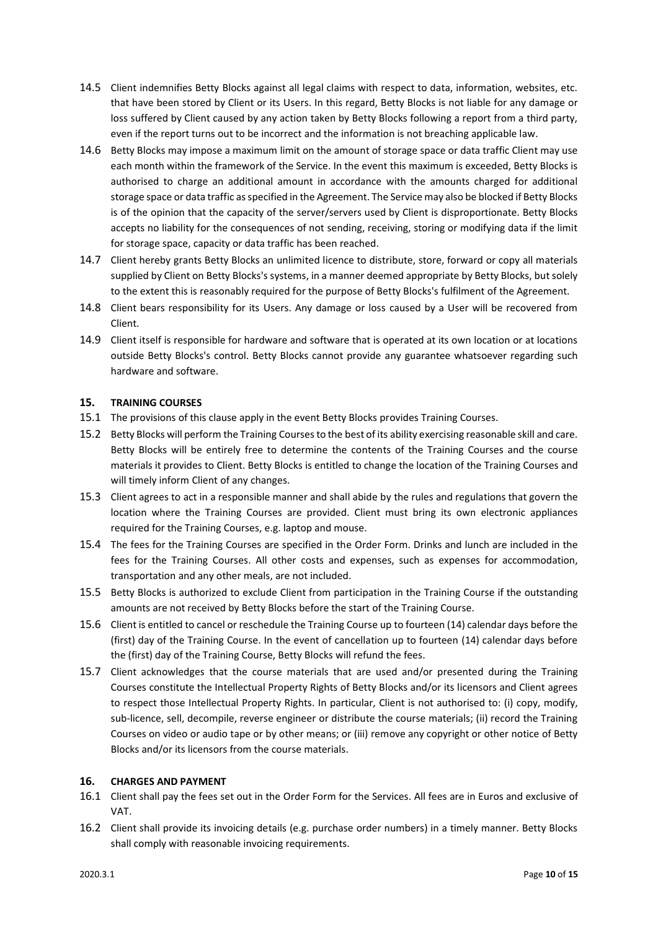- 14.5 Client indemnifies Betty Blocks against all legal claims with respect to data, information, websites, etc. that have been stored by Client or its Users. In this regard, Betty Blocks is not liable for any damage or loss suffered by Client caused by any action taken by Betty Blocks following a report from a third party, even if the report turns out to be incorrect and the information is not breaching applicable law.
- 14.6 Betty Blocks may impose a maximum limit on the amount of storage space or data traffic Client may use each month within the framework of the Service. In the event this maximum is exceeded, Betty Blocks is authorised to charge an additional amount in accordance with the amounts charged for additional storage space or data traffic as specified in the Agreement. The Service may also be blocked if Betty Blocks is of the opinion that the capacity of the server/servers used by Client is disproportionate. Betty Blocks accepts no liability for the consequences of not sending, receiving, storing or modifying data if the limit for storage space, capacity or data traffic has been reached.
- 14.7 Client hereby grants Betty Blocks an unlimited licence to distribute, store, forward or copy all materials supplied by Client on Betty Blocks's systems, in a manner deemed appropriate by Betty Blocks, but solely to the extent this is reasonably required for the purpose of Betty Blocks's fulfilment of the Agreement.
- 14.8 Client bears responsibility for its Users. Any damage or loss caused by a User will be recovered from Client.
- 14.9 Client itself is responsible for hardware and software that is operated at its own location or at locations outside Betty Blocks's control. Betty Blocks cannot provide any guarantee whatsoever regarding such hardware and software.

# **15. TRAINING COURSES**

- 15.1 The provisions of this clause apply in the event Betty Blocks provides Training Courses.
- 15.2 Betty Blocks will perform the Training Courses to the best of its ability exercising reasonable skill and care. Betty Blocks will be entirely free to determine the contents of the Training Courses and the course materials it provides to Client. Betty Blocks is entitled to change the location of the Training Courses and will timely inform Client of any changes.
- 15.3 Client agrees to act in a responsible manner and shall abide by the rules and regulations that govern the location where the Training Courses are provided. Client must bring its own electronic appliances required for the Training Courses, e.g. laptop and mouse.
- 15.4 The fees for the Training Courses are specified in the Order Form. Drinks and lunch are included in the fees for the Training Courses. All other costs and expenses, such as expenses for accommodation, transportation and any other meals, are not included.
- 15.5 Betty Blocks is authorized to exclude Client from participation in the Training Course if the outstanding amounts are not received by Betty Blocks before the start of the Training Course.
- 15.6 Client is entitled to cancel or reschedule the Training Course up to fourteen (14) calendar days before the (first) day of the Training Course. In the event of cancellation up to fourteen (14) calendar days before the (first) day of the Training Course, Betty Blocks will refund the fees.
- 15.7 Client acknowledges that the course materials that are used and/or presented during the Training Courses constitute the Intellectual Property Rights of Betty Blocks and/or its licensors and Client agrees to respect those Intellectual Property Rights. In particular, Client is not authorised to: (i) copy, modify, sub-licence, sell, decompile, reverse engineer or distribute the course materials; (ii) record the Training Courses on video or audio tape or by other means; or (iii) remove any copyright or other notice of Betty Blocks and/or its licensors from the course materials.

# **16. CHARGES AND PAYMENT**

- 16.1 Client shall pay the fees set out in the Order Form for the Services. All fees are in Euros and exclusive of VAT.
- 16.2 Client shall provide its invoicing details (e.g. purchase order numbers) in a timely manner. Betty Blocks shall comply with reasonable invoicing requirements.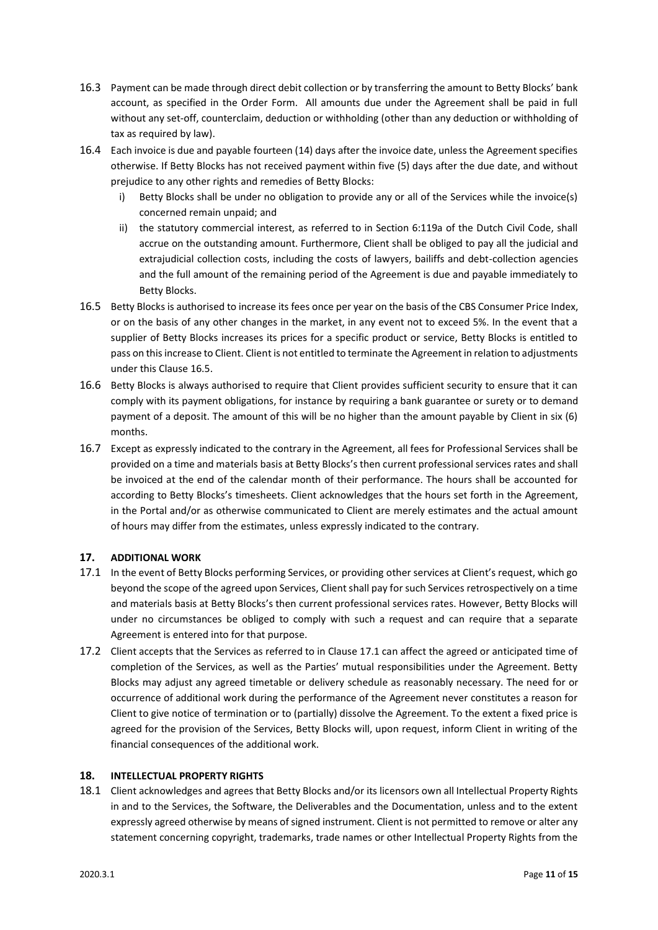- 16.3 Payment can be made through direct debit collection or by transferring the amount to Betty Blocks' bank account, as specified in the Order Form. All amounts due under the Agreement shall be paid in full without any set-off, counterclaim, deduction or withholding (other than any deduction or withholding of tax as required by law).
- 16.4 Each invoice is due and payable fourteen (14) days after the invoice date, unless the Agreement specifies otherwise. If Betty Blocks has not received payment within five (5) days after the due date, and without prejudice to any other rights and remedies of Betty Blocks:
	- i) Betty Blocks shall be under no obligation to provide any or all of the Services while the invoice(s) concerned remain unpaid; and
	- ii) the statutory commercial interest, as referred to in Section 6:119a of the Dutch Civil Code, shall accrue on the outstanding amount. Furthermore, Client shall be obliged to pay all the judicial and extrajudicial collection costs, including the costs of lawyers, bailiffs and debt-collection agencies and the full amount of the remaining period of the Agreement is due and payable immediately to Betty Blocks.
- 16.5 Betty Blocks is authorised to increase its fees once per year on the basis of the CBS Consumer Price Index, or on the basis of any other changes in the market, in any event not to exceed 5%. In the event that a supplier of Betty Blocks increases its prices for a specific product or service, Betty Blocks is entitled to pass on this increase to Client. Client is not entitled to terminate the Agreement in relation to adjustments under this Clause 16.5.
- 16.6 Betty Blocks is always authorised to require that Client provides sufficient security to ensure that it can comply with its payment obligations, for instance by requiring a bank guarantee or surety or to demand payment of a deposit. The amount of this will be no higher than the amount payable by Client in six (6) months.
- 16.7 Except as expressly indicated to the contrary in the Agreement, all fees for Professional Services shall be provided on a time and materials basis at Betty Blocks's then current professional services rates and shall be invoiced at the end of the calendar month of their performance. The hours shall be accounted for according to Betty Blocks's timesheets. Client acknowledges that the hours set forth in the Agreement, in the Portal and/or as otherwise communicated to Client are merely estimates and the actual amount of hours may differ from the estimates, unless expressly indicated to the contrary.

# **17. ADDITIONAL WORK**

- 17.1 In the event of Betty Blocks performing Services, or providing other services at Client's request, which go beyond the scope of the agreed upon Services, Client shall pay for such Services retrospectively on a time and materials basis at Betty Blocks's then current professional services rates. However, Betty Blocks will under no circumstances be obliged to comply with such a request and can require that a separate Agreement is entered into for that purpose.
- 17.2 Client accepts that the Services as referred to in Clause 17.1 can affect the agreed or anticipated time of completion of the Services, as well as the Parties' mutual responsibilities under the Agreement. Betty Blocks may adjust any agreed timetable or delivery schedule as reasonably necessary. The need for or occurrence of additional work during the performance of the Agreement never constitutes a reason for Client to give notice of termination or to (partially) dissolve the Agreement. To the extent a fixed price is agreed for the provision of the Services, Betty Blocks will, upon request, inform Client in writing of the financial consequences of the additional work.

## **18. INTELLECTUAL PROPERTY RIGHTS**

18.1 Client acknowledges and agrees that Betty Blocks and/or its licensors own all Intellectual Property Rights in and to the Services, the Software, the Deliverables and the Documentation, unless and to the extent expressly agreed otherwise by means of signed instrument. Client is not permitted to remove or alter any statement concerning copyright, trademarks, trade names or other Intellectual Property Rights from the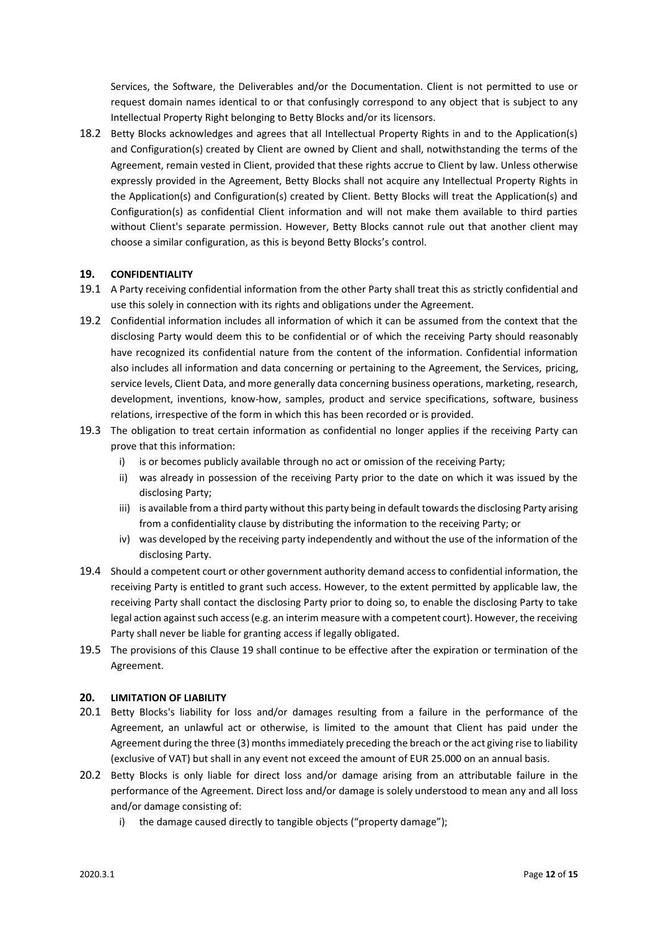Services, the Software, the Deliverables and/or the Documentation. Client is not permitted to use or request domain names identical to or that confusingly correspond to any object that is subject to any Intellectual Property Right belonging to Betty Blocks and/or its licensors.

18.2 Betty Blocks acknowledges and agrees that all Intellectual Property Rights in and to the Application(s) and Configuration(s) created by Client are owned by Client and shall, notwithstanding the terms of the Agreement, remain vested in Client, provided that these rights accrue to Client by law. Unless otherwise expressly provided in the Agreement, Betty Blocks shall not acquire any Intellectual Property Rights in the Application(s) and Configuration(s) created by Client. Betty Blocks will treat the Application(s) and Configuration(s) as confidential Client information and will not make them available to third parties without Client's separate permission. However, Betty Blocks cannot rule out that another client may choose a similar configuration, as this is beyond Betty Blocks's control.

## **19. CONFIDENTIALITY**

- 19.1 A Party receiving confidential information from the other Party shall treat this as strictly confidential and use this solely in connection with its rights and obligations under the Agreement.
- 19.2 Confidential information includes all information of which it can be assumed from the context that the disclosing Party would deem this to be confidential or of which the receiving Party should reasonably have recognized its confidential nature from the content of the information. Confidential information also includes all information and data concerning or pertaining to the Agreement, the Services, pricing, service levels, Client Data, and more generally data concerning business operations, marketing, research, development, inventions, know-how, samples, product and service specifications, software, business relations, irrespective of the form in which this has been recorded or is provided.
- 19.3 The obligation to treat certain information as confidential no longer applies if the receiving Party can prove that this information:
	- i) is or becomes publicly available through no act or omission of the receiving Party;
	- ii) was already in possession of the receiving Party prior to the date on which it was issued by the disclosing Party;
	- iii) is available from a third party without this party being in default towards the disclosing Party arising from a confidentiality clause by distributing the information to the receiving Party; or
	- iv) was developed by the receiving party independently and without the use of the information of the disclosing Party.
- 19.4 Should a competent court or other government authority demand access to confidential information, the receiving Party is entitled to grant such access. However, to the extent permitted by applicable law, the receiving Party shall contact the disclosing Party prior to doing so, to enable the disclosing Party to take legal action against such access (e.g. an interim measure with a competent court). However, the receiving Party shall never be liable for granting access if legally obligated.
- 19.5 The provisions of this Clause 19 shall continue to be effective after the expiration or termination of the Agreement.

## **20. LIMITATION OF LIABILITY**

- 20.1 Betty Blocks's liability for loss and/or damages resulting from a failure in the performance of the Agreement, an unlawful act or otherwise, is limited to the amount that Client has paid under the Agreement during the three (3) months immediately preceding the breach or the act giving rise to liability (exclusive of VAT) but shall in any event not exceed the amount of EUR 25.000 on an annual basis.
- 20.2 Betty Blocks is only liable for direct loss and/or damage arising from an attributable failure in the performance of the Agreement. Direct loss and/or damage is solely understood to mean any and all loss and/or damage consisting of:
	- i) the damage caused directly to tangible objects ("property damage");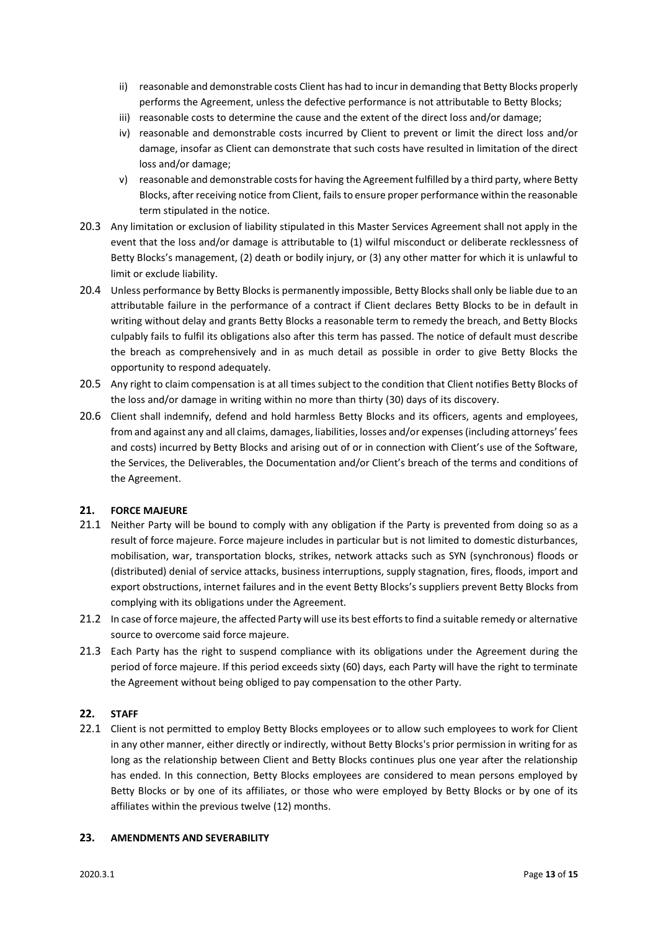- ii) reasonable and demonstrable costs Client has had to incur in demanding that Betty Blocks properly performs the Agreement, unless the defective performance is not attributable to Betty Blocks;
- iii) reasonable costs to determine the cause and the extent of the direct loss and/or damage;
- iv) reasonable and demonstrable costs incurred by Client to prevent or limit the direct loss and/or damage, insofar as Client can demonstrate that such costs have resulted in limitation of the direct loss and/or damage;
- v) reasonable and demonstrable costs for having the Agreement fulfilled by a third party, where Betty Blocks, after receiving notice from Client, fails to ensure proper performance within the reasonable term stipulated in the notice.
- 20.3 Any limitation or exclusion of liability stipulated in this Master Services Agreement shall not apply in the event that the loss and/or damage is attributable to (1) wilful misconduct or deliberate recklessness of Betty Blocks's management, (2) death or bodily injury, or (3) any other matter for which it is unlawful to limit or exclude liability.
- 20.4 Unless performance by Betty Blocks is permanently impossible, Betty Blocks shall only be liable due to an attributable failure in the performance of a contract if Client declares Betty Blocks to be in default in writing without delay and grants Betty Blocks a reasonable term to remedy the breach, and Betty Blocks culpably fails to fulfil its obligations also after this term has passed. The notice of default must describe the breach as comprehensively and in as much detail as possible in order to give Betty Blocks the opportunity to respond adequately.
- 20.5 Any right to claim compensation is at all times subject to the condition that Client notifies Betty Blocks of the loss and/or damage in writing within no more than thirty (30) days of its discovery.
- 20.6 Client shall indemnify, defend and hold harmless Betty Blocks and its officers, agents and employees, from and against any and all claims, damages, liabilities, losses and/or expenses (including attorneys' fees and costs) incurred by Betty Blocks and arising out of or in connection with Client's use of the Software, the Services, the Deliverables, the Documentation and/or Client's breach of the terms and conditions of the Agreement.

# **21. FORCE MAJEURE**

- 21.1 Neither Party will be bound to comply with any obligation if the Party is prevented from doing so as a result of force majeure. Force majeure includes in particular but is not limited to domestic disturbances, mobilisation, war, transportation blocks, strikes, network attacks such as SYN (synchronous) floods or (distributed) denial of service attacks, business interruptions, supply stagnation, fires, floods, import and export obstructions, internet failures and in the event Betty Blocks's suppliers prevent Betty Blocks from complying with its obligations under the Agreement.
- 21.2 In case of force majeure, the affected Party will use its best efforts to find a suitable remedy or alternative source to overcome said force majeure.
- 21.3 Each Party has the right to suspend compliance with its obligations under the Agreement during the period of force majeure. If this period exceeds sixty (60) days, each Party will have the right to terminate the Agreement without being obliged to pay compensation to the other Party.

## **22. STAFF**

22.1 Client is not permitted to employ Betty Blocks employees or to allow such employees to work for Client in any other manner, either directly or indirectly, without Betty Blocks's prior permission in writing for as long as the relationship between Client and Betty Blocks continues plus one year after the relationship has ended. In this connection, Betty Blocks employees are considered to mean persons employed by Betty Blocks or by one of its affiliates, or those who were employed by Betty Blocks or by one of its affiliates within the previous twelve (12) months.

## **23. AMENDMENTS AND SEVERABILITY**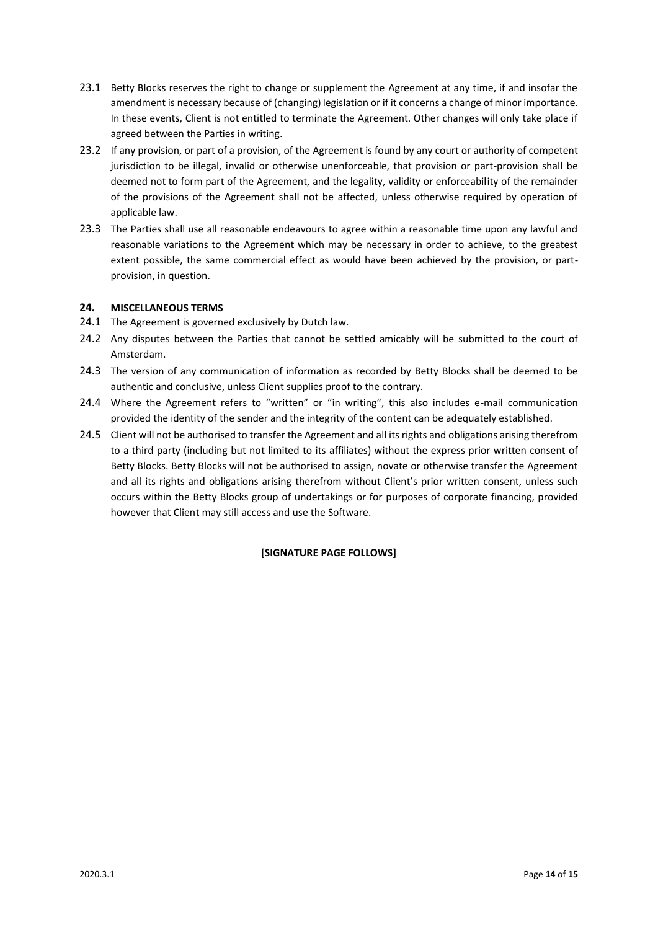- 23.1 Betty Blocks reserves the right to change or supplement the Agreement at any time, if and insofar the amendment is necessary because of (changing) legislation or if it concerns a change of minor importance. In these events, Client is not entitled to terminate the Agreement. Other changes will only take place if agreed between the Parties in writing.
- 23.2 If any provision, or part of a provision, of the Agreement is found by any court or authority of competent jurisdiction to be illegal, invalid or otherwise unenforceable, that provision or part-provision shall be deemed not to form part of the Agreement, and the legality, validity or enforceability of the remainder of the provisions of the Agreement shall not be affected, unless otherwise required by operation of applicable law.
- 23.3 The Parties shall use all reasonable endeavours to agree within a reasonable time upon any lawful and reasonable variations to the Agreement which may be necessary in order to achieve, to the greatest extent possible, the same commercial effect as would have been achieved by the provision, or partprovision, in question.

## **24. MISCELLANEOUS TERMS**

- 24.1 The Agreement is governed exclusively by Dutch law.
- 24.2 Any disputes between the Parties that cannot be settled amicably will be submitted to the court of Amsterdam.
- 24.3 The version of any communication of information as recorded by Betty Blocks shall be deemed to be authentic and conclusive, unless Client supplies proof to the contrary.
- 24.4 Where the Agreement refers to "written" or "in writing", this also includes e-mail communication provided the identity of the sender and the integrity of the content can be adequately established.
- 24.5 Client will not be authorised to transfer the Agreement and all its rights and obligations arising therefrom to a third party (including but not limited to its affiliates) without the express prior written consent of Betty Blocks. Betty Blocks will not be authorised to assign, novate or otherwise transfer the Agreement and all its rights and obligations arising therefrom without Client's prior written consent, unless such occurs within the Betty Blocks group of undertakings or for purposes of corporate financing, provided however that Client may still access and use the Software.

# **[SIGNATURE PAGE FOLLOWS]**